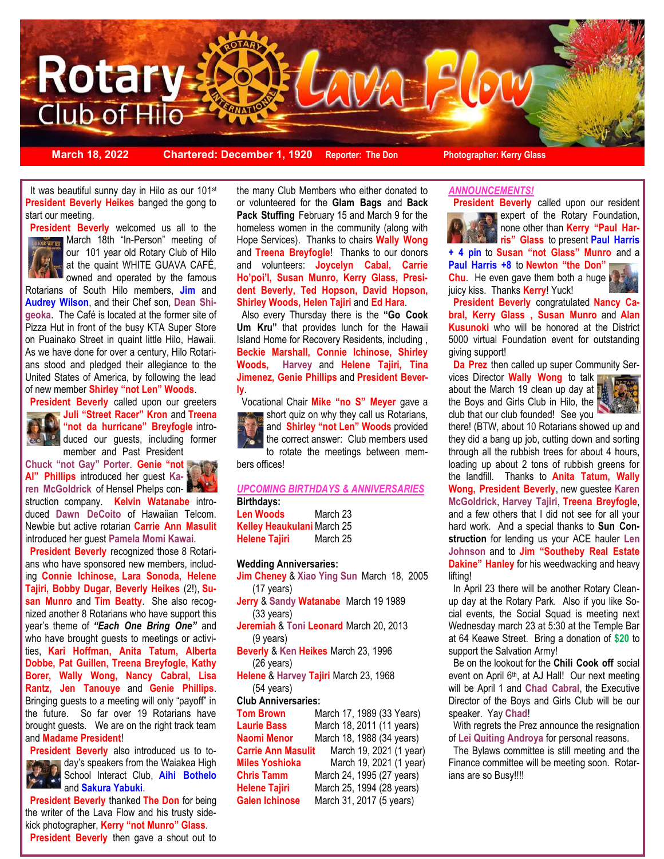

**March 18, 2022 Chartered: December 1, 1920 Reporter: The Don Photographer: Kerry Glass**

It was beautiful sunny day in Hilo as our 101<sup>st</sup> **President Beverly Heikes** banged the gong to start our meeting.



 March 18th "In-Person" meeting of **President Beverly** welcomed us all to the our 101 year old Rotary Club of Hilo at the quaint WHITE GUAVA CAFÉ, owned and operated by the famous

Rotarians of South Hilo members, **Jim** and **Audrey Wilson**, and their Chef son, **Dean Shigeoka**. The Café is located at the former site of Pizza Hut in front of the busy KTA Super Store on Puainako Street in quaint little Hilo, Hawaii. As we have done for over a century, Hilo Rotarians stood and pledged their allegiance to the United States of America, by following the lead of new member **Shirley "not Len" Woods**.



**President Beverly** called upon our greeters **Juli "Street Racer" Kron** and **Treena "not da hurricane" Breyfogle** introduced our guests, including former member and Past President

**Chuck "not Gay" Porter**. **Genie "not Al" Phillips** introduced her guest **Ka-**

**ren McGoldrick** of Hensel Phelps construction company. **Kelvin Watanabe** introduced **Dawn DeCoito** of Hawaiian Telcom. Newbie but active rotarian **Carrie Ann Masulit** introduced her guest **Pamela Momi Kawai**.

 **President Beverly** recognized those 8 Rotarians who have sponsored new members, including **Connie Ichinose, Lara Sonoda, Helene Tajiri, Bobby Dugar, Beverly Heikes** (2!), **Susan Munro** and **Tim Beatty**. She also recognized another 8 Rotarians who have support this year's theme of *"Each One Bring One"* and who have brought guests to meetings or activities, **Kari Hoffman, Anita Tatum, Alberta Dobbe, Pat Guillen, Treena Breyfogle, Kathy Borer, Wally Wong, Nancy Cabral, Lisa Rantz, Jen Tanouye** and **Genie Phillips**. Bringing guests to a meeting will only "payoff" in the future. So far over 19 Rotarians have brought guests. We are on the right track team and **Madame President**!

 **President Beverly** also introduced us to to-



day's speakers from the Waiakea High School Interact Club, **Aihi Bothelo**   $\ddot{\phantom{1}}$ and **Sakura Yabuki**.

 **President Beverly** thanked **The Don** for being the writer of the Lava Flow and his trusty sidekick photographer, **Kerry "not Munro" Glass**. **President Beverly** then gave a shout out to the many Club Members who either donated to or volunteered for the **Glam Bags** and **Back Pack Stuffing** February 15 and March 9 for the homeless women in the community (along with Hope Services). Thanks to chairs **Wally Wong**  and **Treena Breyfogle**! Thanks to our donors and volunteers: **Joycelyn Cabal, Carrie Ho'poi'I, Susan Munro, Kerry Glass, President Beverly, Ted Hopson, David Hopson, Shirley Woods, Helen Tajiri** and **Ed Hara**.

 Also every Thursday there is the **"Go Cook Um Kru"** that provides lunch for the Hawaii Island Home for Recovery Residents, including , **Beckie Marshall, Connie Ichinose, Shirley Woods, Harvey** and **Helene Tajiri, Tina Jimenez, Genie Phillips** and **President Beverly**.

 Vocational Chair **Mike "no S" Meyer** gave a short quiz on why they call us Rotarians, and **Shirley "not Len" Woods** provided the correct answer: Club members used to rotate the meetings between members offices!

### *UPCOMING BIRTHDAYS & ANNIVERSARIES* **Birthdays:**

**Len Woods** March 23 **Kelley Heaukulani** March 25 **Helene Tajiri** March 25

#### **Wedding Anniversaries:**

**Jim Cheney** & **Xiao Ying Sun** March 18, 2005 (17 years)

**Jerry** & **Sandy Watanabe** March 19 1989 (33 years)

**Jeremiah** & **Toni Leonard** March 20, 2013 (9 years)

**Beverly** & **Ken Heikes** March 23, 1996 (26 years)

**Helene** & **Harvey Tajiri** March 23, 1968 (54 years)

### **Club Anniversaries:**

**Tom Brown** March 17, 1989 (33 Years) **Laurie Bass** March 18, 2011 (11 years) **Naomi Menor** March 18, 1988 (34 years) **Carrie Ann Masulit** March 19, 2021 (1 year) **Miles Yoshioka** March 19, 2021 (1 year) **Chris Tamm** March 24, 1995 (27 years) **Helene Tajiri** March 25, 1994 (28 years) **Galen Ichinose** March 31, 2017 (5 years)

### *ANNOUNCEMENTS!*



 **President Beverly** called upon our resident **Expert of the Rotary Foundation,** none other than **Kerry "Paul Harris" Glass** to present **Paul Harris** 

**+ 4 pin** to **Susan "not Glass" Munro** and a **Paul Harris +8** to **Newton "the Don" Chu**. He even gave them both a huge juicy kiss. Thanks **Kerry**! Yuck!

 **President Beverly** congratulated **Nancy Cabral, Kerry Glass , Susan Munro** and **Alan Kusunoki** who will be honored at the District 5000 virtual Foundation event for outstanding giving support!

**Da Prez** then called up super Community Ser-

vices Director **Wally Wong** to talk about the March 19 clean up day at the Boys and Girls Club in Hilo, the club that our club founded! See you



there! (BTW, about 10 Rotarians showed up and they did a bang up job, cutting down and sorting through all the rubbish trees for about 4 hours, loading up about 2 tons of rubbish greens for the landfill. Thanks to **Anita Tatum, Wally Wong, President Beverly**, new guestee **Karen McGoldrick**, **Harvey Tajiri**, **Treena Breyfogle**, and a few others that I did not see for all your hard work. And a special thanks to **Sun Construction** for lending us your ACE hauler **Len Johnson** and to **Jim "Southeby Real Estate Dakine" Hanley** for his weedwacking and heavy lifting!

 In April 23 there will be another Rotary Cleanup day at the Rotary Park. Also if you like Social events, the Social Squad is meeting next Wednesday march 23 at 5:30 at the Temple Bar at 64 Keawe Street. Bring a donation of **\$20** to support the Salvation Army!

 Be on the lookout for the **Chili Cook off** social event on April 6<sup>th</sup>, at AJ Hall! Our next meeting will be April 1 and **Chad Cabral**, the Executive Director of the Boys and Girls Club will be our speaker. Yay **Chad**!

With regrets the Prez announce the resignation of **Lei Quiting Androya** for personal reasons.

 The Bylaws committee is still meeting and the Finance committee will be meeting soon. Rotarians are so Busy!!!!